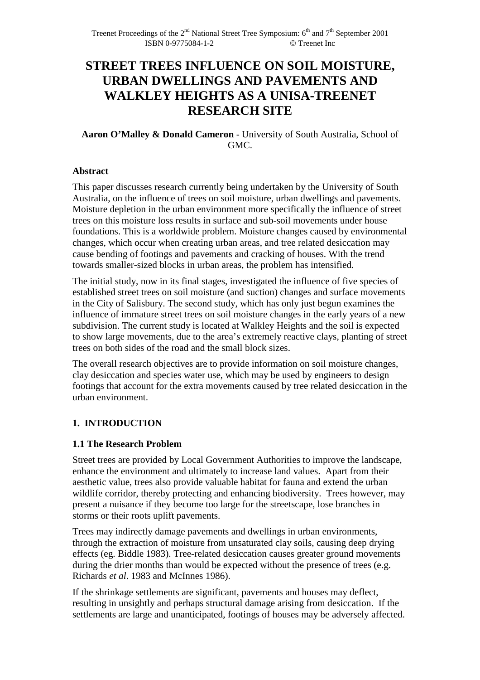# **STREET TREES INFLUENCE ON SOIL MOISTURE, URBAN DWELLINGS AND PAVEMENTS AND WALKLEY HEIGHTS AS A UNISA-TREENET RESEARCH SITE**

### **Aaron O'Malley & Donald Cameron** - University of South Australia, School of GMC.

### **Abstract**

This paper discusses research currently being undertaken by the University of South Australia, on the influence of trees on soil moisture, urban dwellings and pavements. Moisture depletion in the urban environment more specifically the influence of street trees on this moisture loss results in surface and sub-soil movements under house foundations. This is a worldwide problem. Moisture changes caused by environmental changes, which occur when creating urban areas, and tree related desiccation may cause bending of footings and pavements and cracking of houses. With the trend towards smaller-sized blocks in urban areas, the problem has intensified.

The initial study, now in its final stages, investigated the influence of five species of established street trees on soil moisture (and suction) changes and surface movements in the City of Salisbury. The second study, which has only just begun examines the influence of immature street trees on soil moisture changes in the early years of a new subdivision. The current study is located at Walkley Heights and the soil is expected to show large movements, due to the area's extremely reactive clays, planting of street trees on both sides of the road and the small block sizes.

The overall research objectives are to provide information on soil moisture changes, clay desiccation and species water use, which may be used by engineers to design footings that account for the extra movements caused by tree related desiccation in the urban environment.

### **1. INTRODUCTION**

### **1.1 The Research Problem**

Street trees are provided by Local Government Authorities to improve the landscape, enhance the environment and ultimately to increase land values. Apart from their aesthetic value, trees also provide valuable habitat for fauna and extend the urban wildlife corridor, thereby protecting and enhancing biodiversity. Trees however, may present a nuisance if they become too large for the streetscape, lose branches in storms or their roots uplift pavements.

Trees may indirectly damage pavements and dwellings in urban environments, through the extraction of moisture from unsaturated clay soils, causing deep drying effects (eg. Biddle 1983). Tree-related desiccation causes greater ground movements during the drier months than would be expected without the presence of trees (e.g. Richards *et al*. 1983 and McInnes 1986).

If the shrinkage settlements are significant, pavements and houses may deflect, resulting in unsightly and perhaps structural damage arising from desiccation. If the settlements are large and unanticipated, footings of houses may be adversely affected.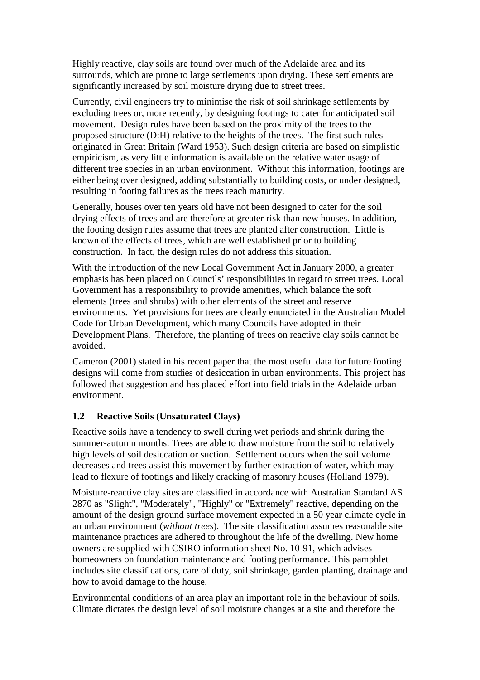Highly reactive, clay soils are found over much of the Adelaide area and its surrounds, which are prone to large settlements upon drying. These settlements are significantly increased by soil moisture drying due to street trees.

Currently, civil engineers try to minimise the risk of soil shrinkage settlements by excluding trees or, more recently, by designing footings to cater for anticipated soil movement. Design rules have been based on the proximity of the trees to the proposed structure (D:H) relative to the heights of the trees. The first such rules originated in Great Britain (Ward 1953). Such design criteria are based on simplistic empiricism, as very little information is available on the relative water usage of different tree species in an urban environment. Without this information, footings are either being over designed, adding substantially to building costs, or under designed, resulting in footing failures as the trees reach maturity.

Generally, houses over ten years old have not been designed to cater for the soil drying effects of trees and are therefore at greater risk than new houses. In addition, the footing design rules assume that trees are planted after construction. Little is known of the effects of trees, which are well established prior to building construction. In fact, the design rules do not address this situation.

With the introduction of the new Local Government Act in January 2000, a greater emphasis has been placed on Councils' responsibilities in regard to street trees. Local Government has a responsibility to provide amenities, which balance the soft elements (trees and shrubs) with other elements of the street and reserve environments. Yet provisions for trees are clearly enunciated in the Australian Model Code for Urban Development, which many Councils have adopted in their Development Plans. Therefore, the planting of trees on reactive clay soils cannot be avoided.

Cameron (2001) stated in his recent paper that the most useful data for future footing designs will come from studies of desiccation in urban environments. This project has followed that suggestion and has placed effort into field trials in the Adelaide urban environment.

### **1.2 Reactive Soils (Unsaturated Clays)**

Reactive soils have a tendency to swell during wet periods and shrink during the summer-autumn months. Trees are able to draw moisture from the soil to relatively high levels of soil desiccation or suction. Settlement occurs when the soil volume decreases and trees assist this movement by further extraction of water, which may lead to flexure of footings and likely cracking of masonry houses (Holland 1979).

Moisture-reactive clay sites are classified in accordance with Australian Standard AS 2870 as "Slight", "Moderately", "Highly" or "Extremely" reactive, depending on the amount of the design ground surface movement expected in a 50 year climate cycle in an urban environment (*without trees*). The site classification assumes reasonable site maintenance practices are adhered to throughout the life of the dwelling. New home owners are supplied with CSIRO information sheet No. 10-91, which advises homeowners on foundation maintenance and footing performance. This pamphlet includes site classifications, care of duty, soil shrinkage, garden planting, drainage and how to avoid damage to the house.

Environmental conditions of an area play an important role in the behaviour of soils. Climate dictates the design level of soil moisture changes at a site and therefore the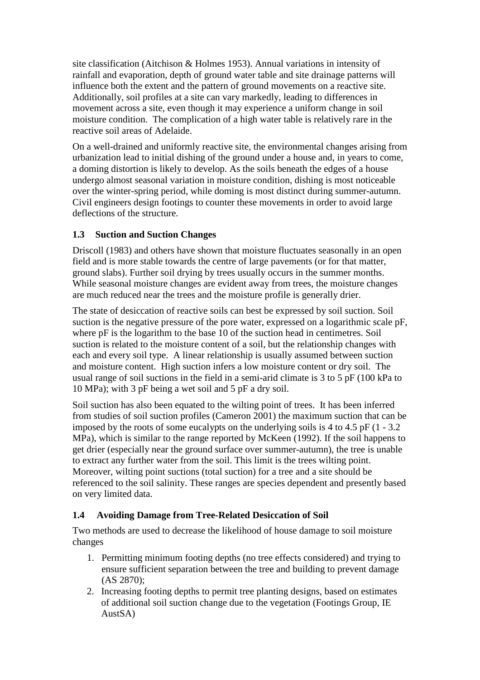site classification (Aitchison & Holmes 1953). Annual variations in intensity of rainfall and evaporation, depth of ground water table and site drainage patterns will influence both the extent and the pattern of ground movements on a reactive site. Additionally, soil profiles at a site can vary markedly, leading to differences in movement across a site, even though it may experience a uniform change in soil moisture condition. The complication of a high water table is relatively rare in the reactive soil areas of Adelaide.

On a well-drained and uniformly reactive site, the environmental changes arising from urbanization lead to initial dishing of the ground under a house and, in years to come, a doming distortion is likely to develop. As the soils beneath the edges of a house undergo almost seasonal variation in moisture condition, dishing is most noticeable over the winter-spring period, while doming is most distinct during summer-autumn. Civil engineers design footings to counter these movements in order to avoid large deflections of the structure.

### **1.3 Suction and Suction Changes**

Driscoll (1983) and others have shown that moisture fluctuates seasonally in an open field and is more stable towards the centre of large pavements (or for that matter, ground slabs). Further soil drying by trees usually occurs in the summer months. While seasonal moisture changes are evident away from trees, the moisture changes are much reduced near the trees and the moisture profile is generally drier.

The state of desiccation of reactive soils can best be expressed by soil suction. Soil suction is the negative pressure of the pore water, expressed on a logarithmic scale pF, where pF is the logarithm to the base 10 of the suction head in centimetres. Soil suction is related to the moisture content of a soil, but the relationship changes with each and every soil type. A linear relationship is usually assumed between suction and moisture content. High suction infers a low moisture content or dry soil. The usual range of soil suctions in the field in a semi-arid climate is 3 to 5 pF (100 kPa to 10 MPa); with 3 pF being a wet soil and 5 pF a dry soil.

Soil suction has also been equated to the wilting point of trees. It has been inferred from studies of soil suction profiles (Cameron 2001) the maximum suction that can be imposed by the roots of some eucalypts on the underlying soils is 4 to 4.5 pF (1 - 3.2 MPa), which is similar to the range reported by McKeen (1992). If the soil happens to get drier (especially near the ground surface over summer-autumn), the tree is unable to extract any further water from the soil. This limit is the trees wilting point. Moreover, wilting point suctions (total suction) for a tree and a site should be referenced to the soil salinity. These ranges are species dependent and presently based on very limited data.

### **1.4 Avoiding Damage from Tree-Related Desiccation of Soil**

Two methods are used to decrease the likelihood of house damage to soil moisture changes

- 1. Permitting minimum footing depths (no tree effects considered) and trying to ensure sufficient separation between the tree and building to prevent damage (AS 2870);
- 2. Increasing footing depths to permit tree planting designs, based on estimates of additional soil suction change due to the vegetation (Footings Group, IE AustSA)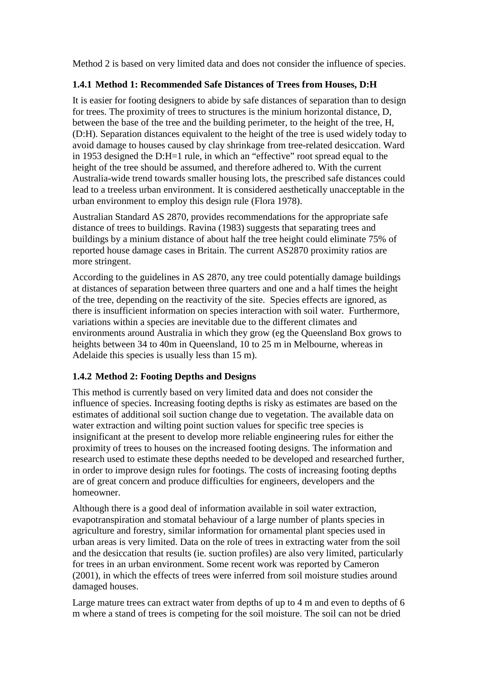Method 2 is based on very limited data and does not consider the influence of species.

### **1.4.1 Method 1: Recommended Safe Distances of Trees from Houses, D:H**

It is easier for footing designers to abide by safe distances of separation than to design for trees. The proximity of trees to structures is the minium horizontal distance, D, between the base of the tree and the building perimeter, to the height of the tree, H, (D:H). Separation distances equivalent to the height of the tree is used widely today to avoid damage to houses caused by clay shrinkage from tree-related desiccation. Ward in 1953 designed the D:H=1 rule, in which an "effective" root spread equal to the height of the tree should be assumed, and therefore adhered to. With the current Australia-wide trend towards smaller housing lots, the prescribed safe distances could lead to a treeless urban environment. It is considered aesthetically unacceptable in the urban environment to employ this design rule (Flora 1978).

Australian Standard AS 2870, provides recommendations for the appropriate safe distance of trees to buildings. Ravina (1983) suggests that separating trees and buildings by a minium distance of about half the tree height could eliminate 75% of reported house damage cases in Britain. The current AS2870 proximity ratios are more stringent.

According to the guidelines in AS 2870, any tree could potentially damage buildings at distances of separation between three quarters and one and a half times the height of the tree, depending on the reactivity of the site. Species effects are ignored, as there is insufficient information on species interaction with soil water. Furthermore, variations within a species are inevitable due to the different climates and environments around Australia in which they grow (eg the Queensland Box grows to heights between 34 to 40m in Queensland, 10 to 25 m in Melbourne, whereas in Adelaide this species is usually less than 15 m).

### **1.4.2 Method 2: Footing Depths and Designs**

This method is currently based on very limited data and does not consider the influence of species. Increasing footing depths is risky as estimates are based on the estimates of additional soil suction change due to vegetation. The available data on water extraction and wilting point suction values for specific tree species is insignificant at the present to develop more reliable engineering rules for either the proximity of trees to houses on the increased footing designs. The information and research used to estimate these depths needed to be developed and researched further, in order to improve design rules for footings. The costs of increasing footing depths are of great concern and produce difficulties for engineers, developers and the homeowner.

Although there is a good deal of information available in soil water extraction, evapotranspiration and stomatal behaviour of a large number of plants species in agriculture and forestry, similar information for ornamental plant species used in urban areas is very limited. Data on the role of trees in extracting water from the soil and the desiccation that results (ie. suction profiles) are also very limited, particularly for trees in an urban environment. Some recent work was reported by Cameron (2001), in which the effects of trees were inferred from soil moisture studies around damaged houses.

Large mature trees can extract water from depths of up to 4 m and even to depths of 6 m where a stand of trees is competing for the soil moisture. The soil can not be dried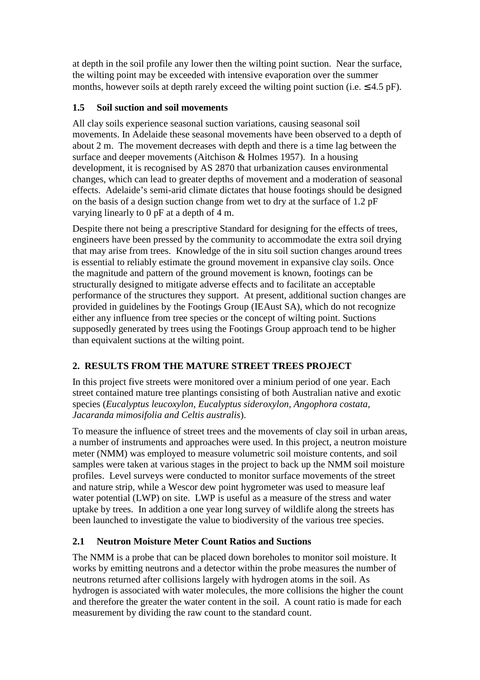at depth in the soil profile any lower then the wilting point suction. Near the surface, the wilting point may be exceeded with intensive evaporation over the summer months, however soils at depth rarely exceed the wilting point suction (i.e.  $\leq 4.5$  pF).

### **1.5 Soil suction and soil movements**

All clay soils experience seasonal suction variations, causing seasonal soil movements. In Adelaide these seasonal movements have been observed to a depth of about 2 m. The movement decreases with depth and there is a time lag between the surface and deeper movements (Aitchison & Holmes 1957). In a housing development, it is recognised by AS 2870 that urbanization causes environmental changes, which can lead to greater depths of movement and a moderation of seasonal effects. Adelaide's semi-arid climate dictates that house footings should be designed on the basis of a design suction change from wet to dry at the surface of 1.2 pF varying linearly to 0 pF at a depth of 4 m.

Despite there not being a prescriptive Standard for designing for the effects of trees, engineers have been pressed by the community to accommodate the extra soil drying that may arise from trees. Knowledge of the in situ soil suction changes around trees is essential to reliably estimate the ground movement in expansive clay soils. Once the magnitude and pattern of the ground movement is known, footings can be structurally designed to mitigate adverse effects and to facilitate an acceptable performance of the structures they support. At present, additional suction changes are provided in guidelines by the Footings Group (IEAust SA), which do not recognize either any influence from tree species or the concept of wilting point. Suctions supposedly generated by trees using the Footings Group approach tend to be higher than equivalent suctions at the wilting point.

# **2. RESULTS FROM THE MATURE STREET TREES PROJECT**

In this project five streets were monitored over a minium period of one year. Each street contained mature tree plantings consisting of both Australian native and exotic species (*Eucalyptus leucoxylon, Eucalyptus sideroxylon, Angophora costata, Jacaranda mimosifolia and Celtis australis*).

To measure the influence of street trees and the movements of clay soil in urban areas, a number of instruments and approaches were used. In this project, a neutron moisture meter (NMM) was employed to measure volumetric soil moisture contents, and soil samples were taken at various stages in the project to back up the NMM soil moisture profiles. Level surveys were conducted to monitor surface movements of the street and nature strip, while a Wescor dew point hygrometer was used to measure leaf water potential (LWP) on site. LWP is useful as a measure of the stress and water uptake by trees. In addition a one year long survey of wildlife along the streets has been launched to investigate the value to biodiversity of the various tree species.

# **2.1 Neutron Moisture Meter Count Ratios and Suctions**

The NMM is a probe that can be placed down boreholes to monitor soil moisture. It works by emitting neutrons and a detector within the probe measures the number of neutrons returned after collisions largely with hydrogen atoms in the soil. As hydrogen is associated with water molecules, the more collisions the higher the count and therefore the greater the water content in the soil. A count ratio is made for each measurement by dividing the raw count to the standard count.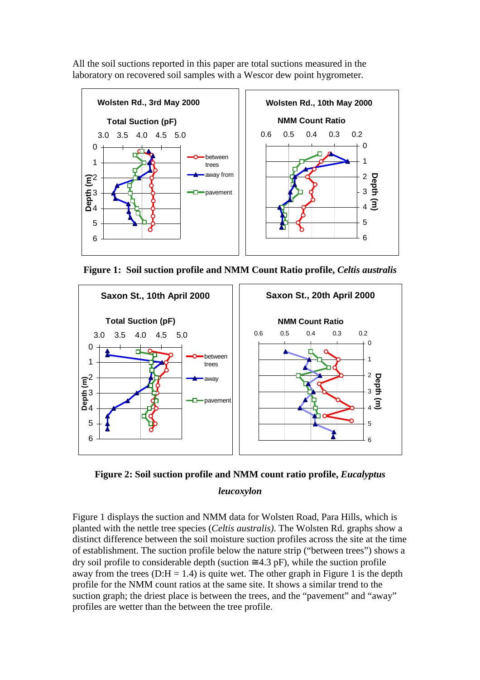All the soil suctions reported in this paper are total suctions measured in the laboratory on recovered soil samples with a Wescor dew point hygrometer.



**Figure 1: Soil suction profile and NMM Count Ratio profile,** *Celtis australis* 





Figure 1 displays the suction and NMM data for Wolsten Road, Para Hills, which is planted with the nettle tree species (*Celtis australis)*. The Wolsten Rd. graphs show a distinct difference between the soil moisture suction profiles across the site at the time of establishment. The suction profile below the nature strip ("between trees") shows a dry soil profile to considerable depth (suction  $\approx 4.3$  pF), while the suction profile away from the trees (D:H = 1.4) is quite wet. The other graph in Figure 1 is the depth profile for the NMM count ratios at the same site. It shows a similar trend to the suction graph; the driest place is between the trees, and the "pavement" and "away" profiles are wetter than the between the tree profile.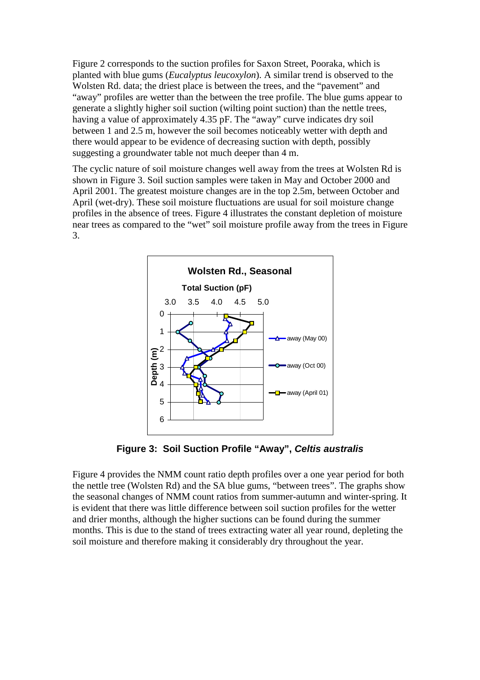Figure 2 corresponds to the suction profiles for Saxon Street, Pooraka, which is planted with blue gums (*Eucalyptus leucoxylon*). A similar trend is observed to the Wolsten Rd. data; the driest place is between the trees, and the "pavement" and "away" profiles are wetter than the between the tree profile. The blue gums appear to generate a slightly higher soil suction (wilting point suction) than the nettle trees, having a value of approximately 4.35 pF. The "away" curve indicates dry soil between 1 and 2.5 m, however the soil becomes noticeably wetter with depth and there would appear to be evidence of decreasing suction with depth, possibly suggesting a groundwater table not much deeper than 4 m.

The cyclic nature of soil moisture changes well away from the trees at Wolsten Rd is shown in Figure 3. Soil suction samples were taken in May and October 2000 and April 2001. The greatest moisture changes are in the top 2.5m, between October and April (wet-dry). These soil moisture fluctuations are usual for soil moisture change profiles in the absence of trees. Figure 4 illustrates the constant depletion of moisture near trees as compared to the "wet" soil moisture profile away from the trees in Figure 3.



**Figure 3: Soil Suction Profile "Away", Celtis australis**

Figure 4 provides the NMM count ratio depth profiles over a one year period for both the nettle tree (Wolsten Rd) and the SA blue gums, "between trees". The graphs show the seasonal changes of NMM count ratios from summer-autumn and winter-spring. It is evident that there was little difference between soil suction profiles for the wetter and drier months, although the higher suctions can be found during the summer months. This is due to the stand of trees extracting water all year round, depleting the soil moisture and therefore making it considerably dry throughout the year.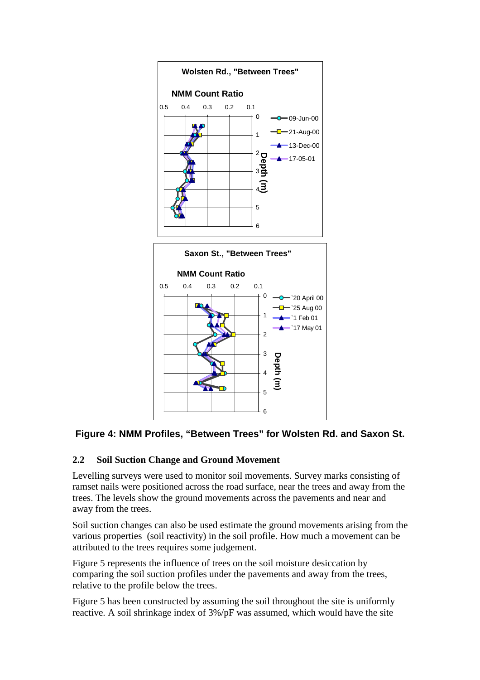

# **Figure 4: NMM Profiles, "Between Trees" for Wolsten Rd. and Saxon St.**

### **2.2 Soil Suction Change and Ground Movement**

Levelling surveys were used to monitor soil movements. Survey marks consisting of ramset nails were positioned across the road surface, near the trees and away from the trees. The levels show the ground movements across the pavements and near and away from the trees.

Soil suction changes can also be used estimate the ground movements arising from the various properties (soil reactivity) in the soil profile. How much a movement can be attributed to the trees requires some judgement.

Figure 5 represents the influence of trees on the soil moisture desiccation by comparing the soil suction profiles under the pavements and away from the trees, relative to the profile below the trees.

Figure 5 has been constructed by assuming the soil throughout the site is uniformly reactive. A soil shrinkage index of 3%/pF was assumed, which would have the site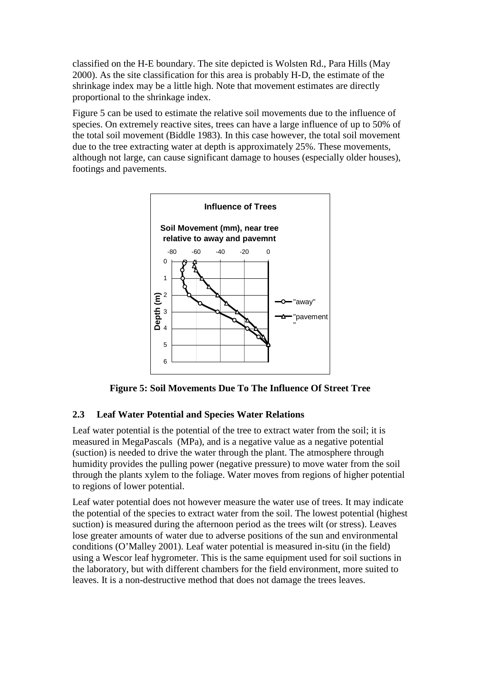classified on the H-E boundary. The site depicted is Wolsten Rd., Para Hills (May 2000). As the site classification for this area is probably H-D, the estimate of the shrinkage index may be a little high. Note that movement estimates are directly proportional to the shrinkage index.

Figure 5 can be used to estimate the relative soil movements due to the influence of species. On extremely reactive sites, trees can have a large influence of up to 50% of the total soil movement (Biddle 1983). In this case however, the total soil movement due to the tree extracting water at depth is approximately 25%. These movements, although not large, can cause significant damage to houses (especially older houses), footings and pavements.



**Figure 5: Soil Movements Due To The Influence Of Street Tree** 

### **2.3 Leaf Water Potential and Species Water Relations**

Leaf water potential is the potential of the tree to extract water from the soil; it is measured in MegaPascals (MPa), and is a negative value as a negative potential (suction) is needed to drive the water through the plant. The atmosphere through humidity provides the pulling power (negative pressure) to move water from the soil through the plants xylem to the foliage. Water moves from regions of higher potential to regions of lower potential.

Leaf water potential does not however measure the water use of trees. It may indicate the potential of the species to extract water from the soil. The lowest potential (highest suction) is measured during the afternoon period as the trees wilt (or stress). Leaves lose greater amounts of water due to adverse positions of the sun and environmental conditions (O'Malley 2001). Leaf water potential is measured in-situ (in the field) using a Wescor leaf hygrometer. This is the same equipment used for soil suctions in the laboratory, but with different chambers for the field environment, more suited to leaves. It is a non-destructive method that does not damage the trees leaves.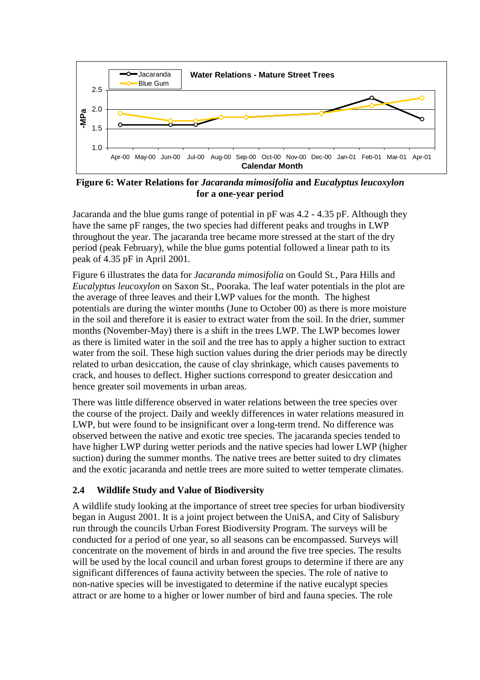

**Figure 6: Water Relations for** *Jacaranda mimosifolia* **and** *Eucalyptus leucoxylon* **for a one-year period** 

Jacaranda and the blue gums range of potential in pF was 4.2 - 4.35 pF. Although they have the same pF ranges, the two species had different peaks and troughs in LWP throughout the year. The jacaranda tree became more stressed at the start of the dry period (peak February), while the blue gums potential followed a linear path to its peak of 4.35 pF in April 2001.

Figure 6 illustrates the data for *Jacaranda mimosifolia* on Gould St., Para Hills and *Eucalyptus leucoxylon* on Saxon St., Pooraka. The leaf water potentials in the plot are the average of three leaves and their LWP values for the month. The highest potentials are during the winter months (June to October 00) as there is more moisture in the soil and therefore it is easier to extract water from the soil. In the drier, summer months (November-May) there is a shift in the trees LWP. The LWP becomes lower as there is limited water in the soil and the tree has to apply a higher suction to extract water from the soil. These high suction values during the drier periods may be directly related to urban desiccation, the cause of clay shrinkage, which causes pavements to crack, and houses to deflect. Higher suctions correspond to greater desiccation and hence greater soil movements in urban areas.

There was little difference observed in water relations between the tree species over the course of the project. Daily and weekly differences in water relations measured in LWP, but were found to be insignificant over a long-term trend. No difference was observed between the native and exotic tree species. The jacaranda species tended to have higher LWP during wetter periods and the native species had lower LWP (higher suction) during the summer months. The native trees are better suited to dry climates and the exotic jacaranda and nettle trees are more suited to wetter temperate climates.

### **2.4 Wildlife Study and Value of Biodiversity**

A wildlife study looking at the importance of street tree species for urban biodiversity began in August 2001. It is a joint project between the UniSA, and City of Salisbury run through the councils Urban Forest Biodiversity Program. The surveys will be conducted for a period of one year, so all seasons can be encompassed. Surveys will concentrate on the movement of birds in and around the five tree species. The results will be used by the local council and urban forest groups to determine if there are any significant differences of fauna activity between the species. The role of native to non-native species will be investigated to determine if the native eucalypt species attract or are home to a higher or lower number of bird and fauna species. The role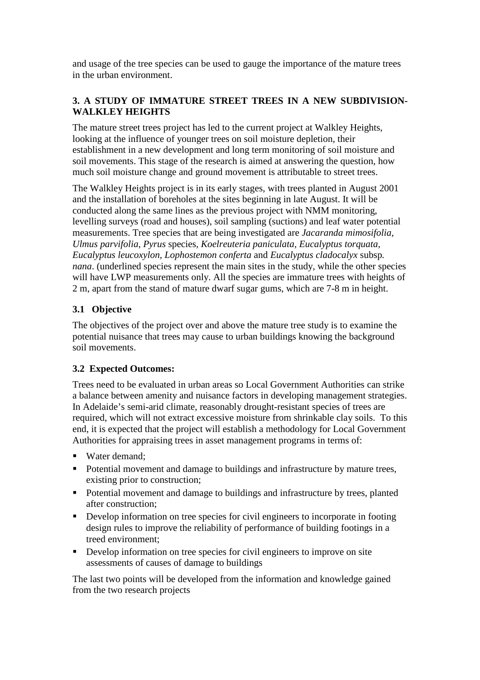and usage of the tree species can be used to gauge the importance of the mature trees in the urban environment.

# **3. A STUDY OF IMMATURE STREET TREES IN A NEW SUBDIVISION-WALKLEY HEIGHTS**

The mature street trees project has led to the current project at Walkley Heights, looking at the influence of younger trees on soil moisture depletion, their establishment in a new development and long term monitoring of soil moisture and soil movements. This stage of the research is aimed at answering the question, how much soil moisture change and ground movement is attributable to street trees.

The Walkley Heights project is in its early stages, with trees planted in August 2001 and the installation of boreholes at the sites beginning in late August. It will be conducted along the same lines as the previous project with NMM monitoring, levelling surveys (road and houses), soil sampling (suctions) and leaf water potential measurements. Tree species that are being investigated are *Jacaranda mimosifolia, Ulmus parvifolia, Pyrus* species*, Koelreuteria paniculata, Eucalyptus torquata, Eucalyptus leucoxylon, Lophostemon conferta* and *Eucalyptus cladocalyx* subsp*. nana*. (underlined species represent the main sites in the study, while the other species will have LWP measurements only. All the species are immature trees with heights of 2 m, apart from the stand of mature dwarf sugar gums, which are 7-8 m in height.

# **3.1 Objective**

The objectives of the project over and above the mature tree study is to examine the potential nuisance that trees may cause to urban buildings knowing the background soil movements.

### **3.2 Expected Outcomes:**

Trees need to be evaluated in urban areas so Local Government Authorities can strike a balance between amenity and nuisance factors in developing management strategies. In Adelaide's semi-arid climate, reasonably drought-resistant species of trees are required, which will not extract excessive moisture from shrinkable clay soils. To this end, it is expected that the project will establish a methodology for Local Government Authorities for appraising trees in asset management programs in terms of:

- Water demand;
- Potential movement and damage to buildings and infrastructure by mature trees, existing prior to construction;
- Potential movement and damage to buildings and infrastructure by trees, planted after construction;
- Develop information on tree species for civil engineers to incorporate in footing design rules to improve the reliability of performance of building footings in a treed environment;
- Develop information on tree species for civil engineers to improve on site assessments of causes of damage to buildings

The last two points will be developed from the information and knowledge gained from the two research projects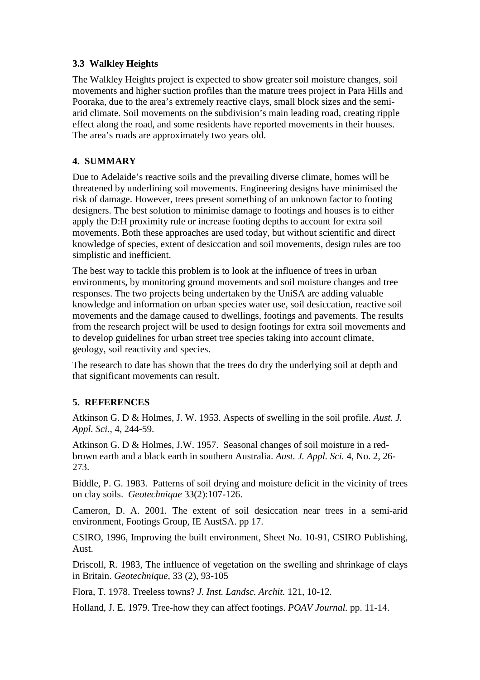### **3.3 Walkley Heights**

The Walkley Heights project is expected to show greater soil moisture changes, soil movements and higher suction profiles than the mature trees project in Para Hills and Pooraka, due to the area's extremely reactive clays, small block sizes and the semiarid climate. Soil movements on the subdivision's main leading road, creating ripple effect along the road, and some residents have reported movements in their houses. The area's roads are approximately two years old.

### **4. SUMMARY**

Due to Adelaide's reactive soils and the prevailing diverse climate, homes will be threatened by underlining soil movements. Engineering designs have minimised the risk of damage. However, trees present something of an unknown factor to footing designers. The best solution to minimise damage to footings and houses is to either apply the D:H proximity rule or increase footing depths to account for extra soil movements. Both these approaches are used today, but without scientific and direct knowledge of species, extent of desiccation and soil movements, design rules are too simplistic and inefficient.

The best way to tackle this problem is to look at the influence of trees in urban environments, by monitoring ground movements and soil moisture changes and tree responses. The two projects being undertaken by the UniSA are adding valuable knowledge and information on urban species water use, soil desiccation, reactive soil movements and the damage caused to dwellings, footings and pavements. The results from the research project will be used to design footings for extra soil movements and to develop guidelines for urban street tree species taking into account climate, geology, soil reactivity and species.

The research to date has shown that the trees do dry the underlying soil at depth and that significant movements can result.

# **5. REFERENCES**

Atkinson G. D & Holmes, J. W. 1953. Aspects of swelling in the soil profile. *Aust. J. Appl. Sci.*, 4, 244-59.

Atkinson G. D & Holmes, J.W. 1957. Seasonal changes of soil moisture in a redbrown earth and a black earth in southern Australia. *Aust. J. Appl. Sci.* 4, No. 2, 26- 273.

Biddle, P. G. 1983. Patterns of soil drying and moisture deficit in the vicinity of trees on clay soils. *Geotechnique* 33(2):107-126.

Cameron, D. A. 2001. The extent of soil desiccation near trees in a semi-arid environment, Footings Group, IE AustSA. pp 17.

CSIRO, 1996, Improving the built environment, Sheet No. 10-91, CSIRO Publishing, Aust.

Driscoll, R. 1983, The influence of vegetation on the swelling and shrinkage of clays in Britain. *Geotechnique*, 33 (2), 93-105

Flora, T. 1978. Treeless towns? *J. Inst. Landsc. Archit.* 121, 10-12.

Holland, J. E. 1979. Tree-how they can affect footings. *POAV Journal.* pp. 11-14.